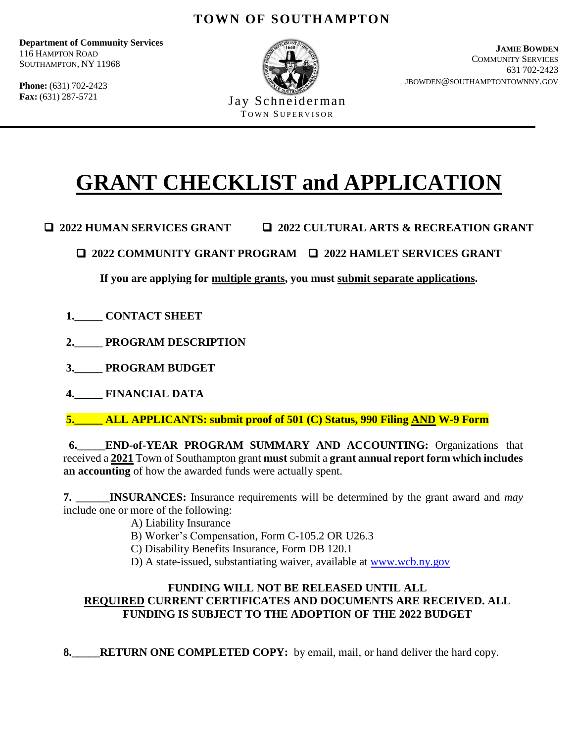**Department of Community Services** 116 HAMPTON ROAD SOUTHAMPTON, NY 11968

**Phone:** (631) 702-2423 **Fax:** (631) 287-5721



Jay Schneiderman TOWN SUPERVISOR

**JAMIE BOWDEN** COMMUNITY SERVICES 631 702-2423 JBOWDEN@SOUTHAMPTONTOWNNY.GOV

# **GRANT CHECKLIST and APPLICATION**

- **2022 HUMAN SERVICES GRANT 2022 CULTURAL ARTS & RECREATION GRANT**
	- **2022 COMMUNITY GRANT PROGRAM 2022 HAMLET SERVICES GRANT**

**If you are applying for multiple grants, you must submit separate applications.**

- **1.\_\_\_\_\_ CONTACT SHEET**
- **2.\_\_\_\_\_ PROGRAM DESCRIPTION**
- **3.\_\_\_\_\_ PROGRAM BUDGET**
- **4.\_\_\_\_\_ FINANCIAL DATA**

**5.\_\_\_\_\_ ALL APPLICANTS: submit proof of 501 (C) Status, 990 Filing AND W-9 Form**

 **6.\_\_\_\_\_END-of-YEAR PROGRAM SUMMARY AND ACCOUNTING:** Organizations that received a **2021** Town of Southampton grant **must** submit a **grant annual report form which includes an accounting** of how the awarded funds were actually spent.

**7. INSURANCES:** Insurance requirements will be determined by the grant award and *may* include one or more of the following:

- A) Liability Insurance
- B) Worker's Compensation, Form C-105.2 OR U26.3
- C) Disability Benefits Insurance, Form DB 120.1
- D) A state-issued, substantiating waiver, available at [www.wcb.ny.gov](http://www.wcb.ny.gov/)

#### **FUNDING WILL NOT BE RELEASED UNTIL ALL REQUIRED CURRENT CERTIFICATES AND DOCUMENTS ARE RECEIVED. ALL FUNDING IS SUBJECT TO THE ADOPTION OF THE 2022 BUDGET**

**8.\_\_\_\_\_RETURN ONE COMPLETED COPY:** by email, mail, or hand deliver the hard copy.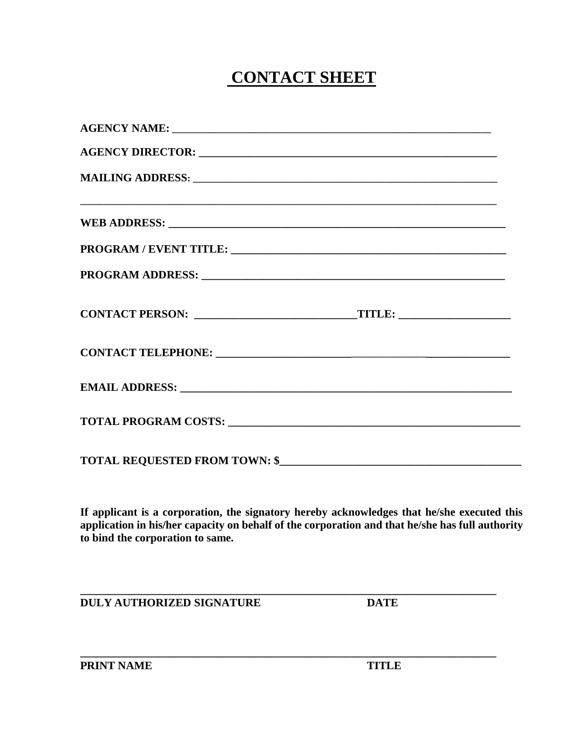## **CONTACT SHEET**

| TOTAL REQUESTED FROM TOWN: \$ |  |
|-------------------------------|--|

**If applicant is a corporation, the signatory hereby acknowledges that he/she executed this application in his/her capacity on behalf of the corporation and that he/she has full authority to bind the corporation to same.**

**\_\_\_\_\_\_\_\_\_\_\_\_\_\_\_\_\_\_\_\_\_\_\_\_\_\_\_\_\_\_\_\_\_\_\_\_\_\_\_\_\_\_\_\_\_\_\_\_\_\_\_\_\_\_\_\_\_\_\_\_\_\_\_\_\_\_\_\_\_\_\_\_\_\_**

**\_\_\_\_\_\_\_\_\_\_\_\_\_\_\_\_\_\_\_\_\_\_\_\_\_\_\_\_\_\_\_\_\_\_\_\_\_\_\_\_\_\_\_\_\_\_\_\_\_\_\_\_\_\_\_\_\_\_\_\_\_\_\_\_\_\_\_\_\_\_\_\_\_\_**

**DULY AUTHORIZED SIGNATURE DATE**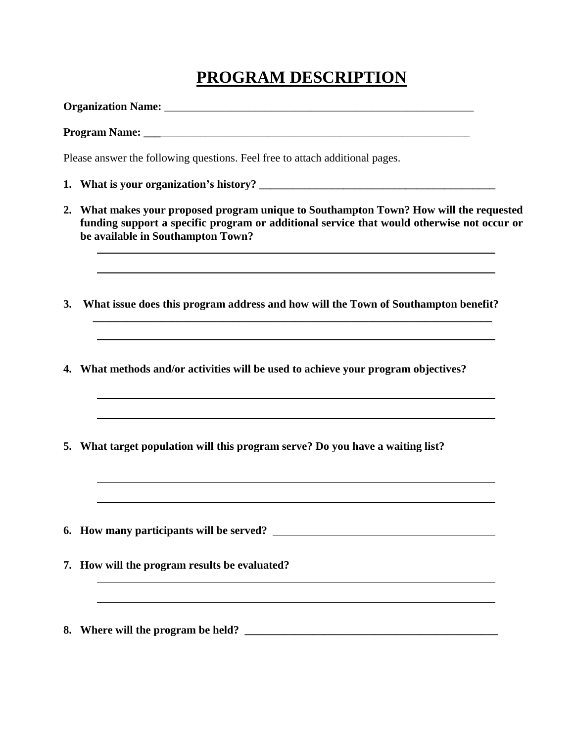## **PROGRAM DESCRIPTION**

**Organization Name:** \_\_\_\_\_\_\_\_\_\_\_\_\_\_\_\_\_\_\_\_\_\_\_\_\_\_\_\_\_\_\_\_\_\_\_\_\_\_\_\_\_\_\_\_\_\_\_\_\_\_\_\_\_\_\_

|    | Please answer the following questions. Feel free to attach additional pages.                                                                                                                                              |  |  |  |  |
|----|---------------------------------------------------------------------------------------------------------------------------------------------------------------------------------------------------------------------------|--|--|--|--|
|    |                                                                                                                                                                                                                           |  |  |  |  |
|    | 2. What makes your proposed program unique to Southampton Town? How will the requested<br>funding support a specific program or additional service that would otherwise not occur or<br>be available in Southampton Town? |  |  |  |  |
| 3. | What issue does this program address and how will the Town of Southampton benefit?                                                                                                                                        |  |  |  |  |
| 4. | What methods and/or activities will be used to achieve your program objectives?                                                                                                                                           |  |  |  |  |
|    | 5. What target population will this program serve? Do you have a waiting list?                                                                                                                                            |  |  |  |  |
|    |                                                                                                                                                                                                                           |  |  |  |  |
|    | 7. How will the program results be evaluated?                                                                                                                                                                             |  |  |  |  |
|    | 8. Where will the program be held?<br><u> 1980 - Johann Barbara, martxa alemaniar a</u>                                                                                                                                   |  |  |  |  |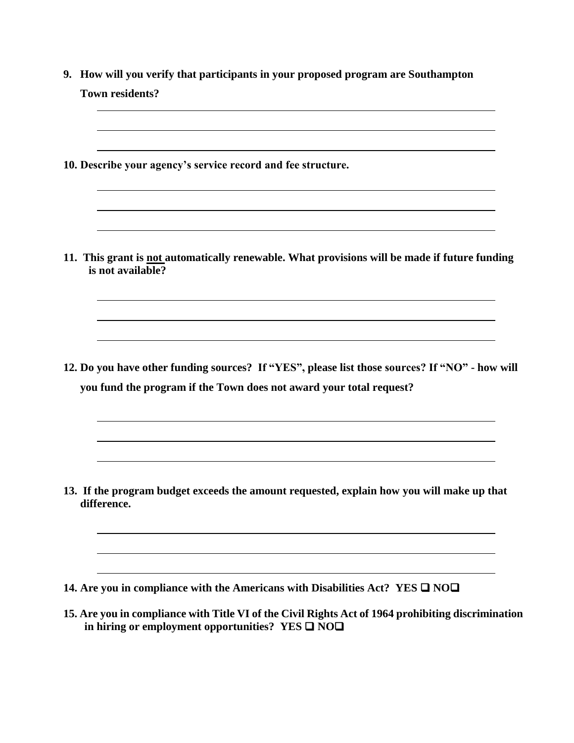| <b>Town residents?</b>                                                                                                                                                |
|-----------------------------------------------------------------------------------------------------------------------------------------------------------------------|
|                                                                                                                                                                       |
| 10. Describe your agency's service record and fee structure.                                                                                                          |
| 11. This grant is not automatically renewable. What provisions will be made if future funding<br>is not available?                                                    |
| 12. Do you have other funding sources? If "YES", please list those sources? If "NO" - how will<br>you fund the program if the Town does not award your total request? |
| 13. If the program budget exceeds the amount requested, explain how you will make up that<br>difference.                                                              |
|                                                                                                                                                                       |

**15. Are you in compliance with Title VI of the Civil Rights Act of 1964 prohibiting discrimination in hiring or employment opportunities? YES**  $\Box$  **NO** $\Box$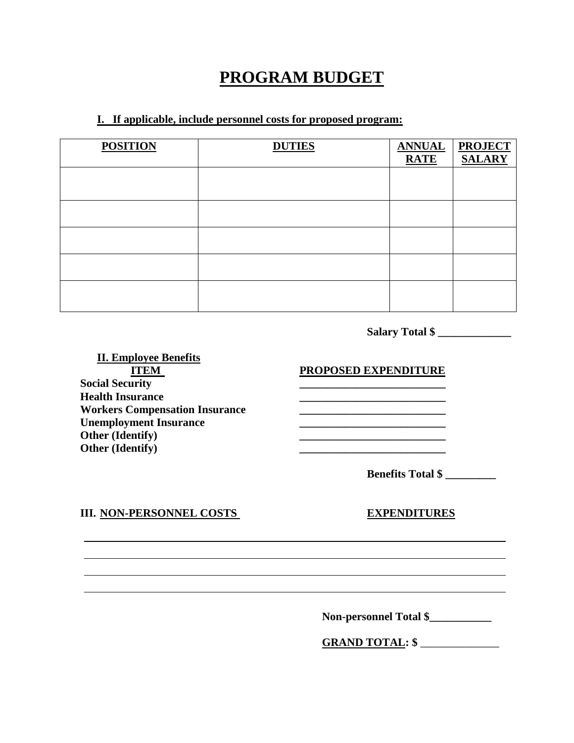## **PROGRAM BUDGET**

#### **I. If applicable, include personnel costs for proposed program:**

| <b>POSITION</b> | <b>DUTIES</b> | <b>ANNUAL PROJECT<br/>RATE SALARY</b> |
|-----------------|---------------|---------------------------------------|
|                 |               |                                       |
|                 |               |                                       |
|                 |               |                                       |
|                 |               |                                       |
|                 |               |                                       |

**Salary Total \$ \_\_\_\_\_\_\_\_\_\_\_\_\_**

**II. Employee Benefits ITEM PROPOSED EXPENDITURE**<br> **PROPOSED EXPENDITURE Health Insurance Workers Compensation Insurance \_\_\_\_\_\_\_\_\_\_\_\_\_\_\_\_\_\_\_\_\_\_\_\_\_\_ Unemployment Insurance \_\_\_\_\_\_\_\_\_\_\_\_\_\_\_\_\_\_\_\_\_\_\_\_\_\_ Other (Identify) \_\_\_\_\_\_\_\_\_\_\_\_\_\_\_\_\_\_\_\_\_\_\_\_\_\_ Other (Identify) \_\_\_\_\_\_\_\_\_\_\_\_\_\_\_\_\_\_\_\_\_\_\_\_\_\_**

**Benefits Total \$ \_\_\_\_\_\_\_\_\_**

#### **III. NON-PERSONNEL COSTS EXPENDITURES**

 **Non-personnel Total \$\_\_\_\_\_\_\_\_\_\_\_**

 **GRAND TOTAL: \$** \_\_\_\_\_\_\_\_\_\_\_\_\_\_